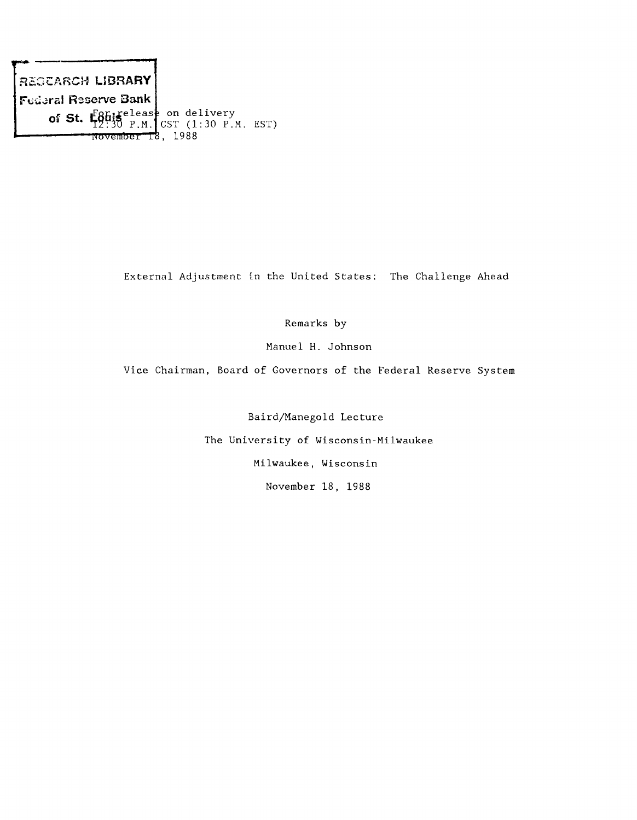**REGÜÄRCH LIBRARY Federal Reserve Bank** of St.  $\mathsf{E6}$ his <sub>BM</sub> (cct (1.20 B) **Wü^yiiflj'ei'"T 1988 CST (1:30 P.M. EST)**

**External Adjustment in the United States: The Challenge Ahead**

**Remarks by**

**Manuel H. Johnson**

**Vice Chairman, Board of Governors of the Federal Reserve System**

**Baird/Manegold Lecture**

**The University of Wisconsin-Milwaukee**

**Milwaukee, Wisconsin**

**November 18, 1988**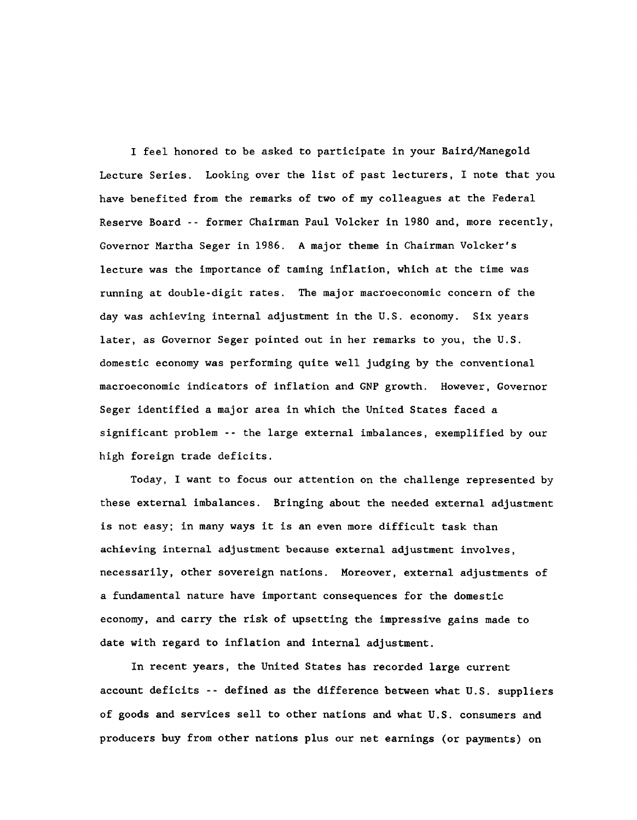**I feel honored to be asked to participate in your Baird/ManegoId Lecture Series. Looking over the list of past lecturers, I note that you have benefited from the remarks of two of my colleagues at the Federal Reserve Board -- former Chairman Paul Volcker in 1980 and, more recently, Governor Martha Seger in 1986. A major theme in Chairman Volcker's lecture was the importance of taming inflation, which at the time was running at double-digit rates. The major macroeconomic concern of the day was achieving internal adjustment in the U.S. economy. Six years later, as Governor Seger pointed out in her remarks to you, the U.S. domestic economy was performing quite well judging by the conventional macroeconomic indicators of inflation and GNP growth. However, Governor Seger identified a major area in which the United States faced a significant problem -- the large external imbalances, exemplified by our high foreign trade deficits.**

**Today, I want to focus our attention on the challenge represented by these external imbalances. Bringing about the needed external adjustment is not easy; in many ways it is an even more difficult task than achieving internal adjustment because external adjustment involves, necessarily, other sovereign nations. Moreover, external adjustments of a fundamental nature have important consequences for the domestic economy, and carry the risk of upsetting the impressive gains made to date with regard to inflation and internal adjustment.**

**In recent years, the United States has recorded large current account deficits -- defined as the difference between what U.S. suppliers of goods and services sell to other nations and what U.S. consumers and producers buy from other nations plus our net earnings (or payments) on**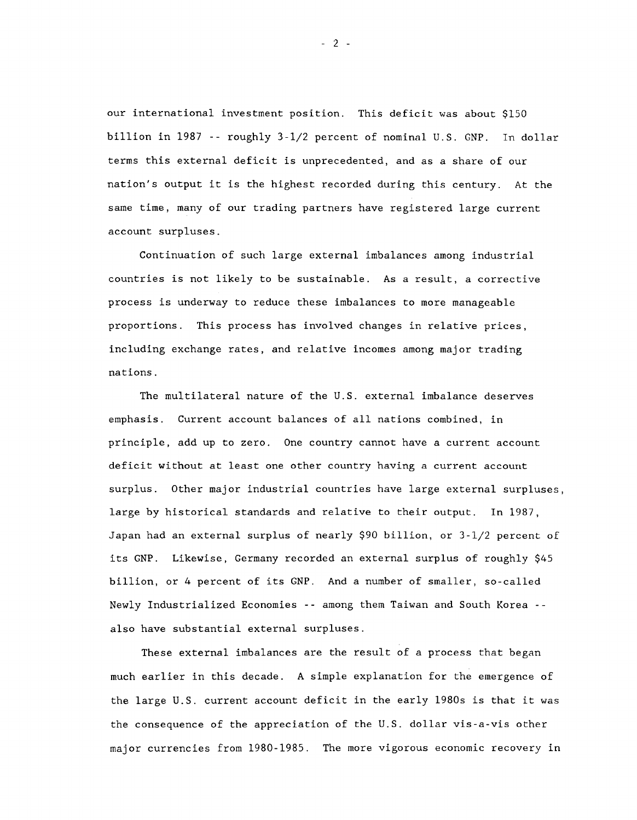**our international investment position. This deficit was about \$150 billion in 1987 -- roughly 3-1/2 percent of nominal U.S. GNP. In dollar terms this external deficit is unprecedented, and as a share of our nation's output it is the highest recorded during this century. At the same time, many of our trading partners have registered large current account surpluses.**

**Continuation of such large external imbalances among industrial countries is not likely to be sustainable. As a result, a corrective process is underway to reduce these imbalances to more manageable proportions. This process has involved changes in relative prices, including exchange rates, and relative incomes among major trading nations.**

**The multilateral nature of the U.S. external imbalance deserves emphasis. Current account balances of all nations combined, in principle, add up to zero. One country cannot have a current account deficit without at least one other country having a current account surplus. Other major industrial countries have large external surpluses, large by historical standards and relative to their output. In 1987, Japan had an external surplus of nearly \$90 billion, or 3-1/2 percent of its GNP. Likewise, Germany recorded an external surplus of roughly \$45 billion, or 4 percent of its GNP. And a number of smaller, so-called Newly Industrialized Economies -- among them Taiwan and South Korea - also have substantial external surpluses.**

**These external imbalances are the result of a process that began much earlier in this decade. A simple explanation for the emergence of the large U.S. current account deficit in the early 1980s is that it was the consequence of the appreciation of the U.S. dollar vis-a-vis other major currencies from 1980-1985. The more vigorous economic recovery in**

- 2 -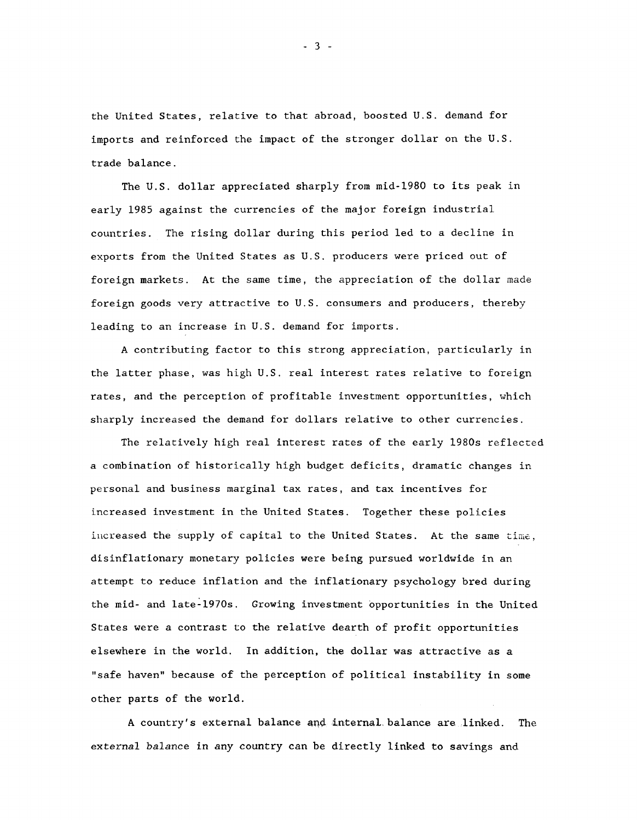**the United States, relative to that abroad, boosted U.S. demand for imports and reinforced the impact of the stronger dollar on the U.S. trade balance.**

**The U.S. dollar appreciated sharply from mid-1980 to its peak in early 1985 against the currencies of the major foreign industrial countries. The rising dollar during this period led to a decline in exports from the United States as U.S. producers were priced out of foreign markets. At the same time, the appreciation of the dollar made foreign goods very attractive to U.S. consumers and producers, thereby leading to an increase in U.S. demand for imports.**

**A contributing factor to this strong appreciation, particularly in the latter phase, was high U.S. real interest rates relative to foreign rates, and the perception of profitable investment opportunities, x^hich sharply increased the demand for dollars relative to other currencies.**

**The relatively high real interest rates of the early 1980s reflected a combination of historically high budget deficits, dramatic changes in personal and business marginal tax rates, and tax incentives for increased investment in the United States. Together these policies increased the supply of capital to the United States. At the same time, disinflationary monetary policies were being pursued worldwide in an attempt to reduce inflation and the inflationary psychology bred during the mid- and late-1970s. Growing investment opportunities in the United States were a contrast to the relative dearth of profit opportunities elsewhere in the world. In addition, the dollar was attractive as a "safe haven" because of the perception of political instability in some other parts of the world.**

A country's external balance and internal balance are linked. The **external balance in any country can be directly linked to savings and**

## - 3 -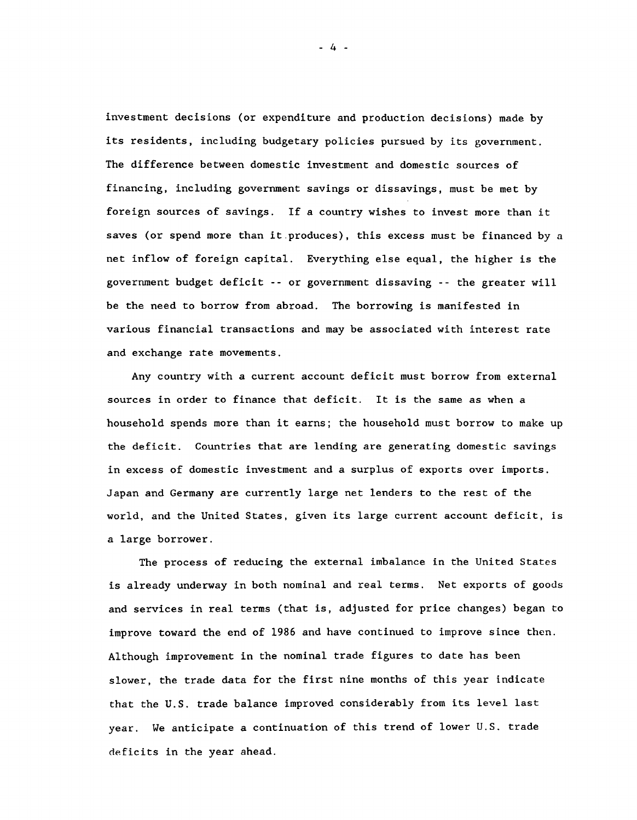**investment decisions (or expenditure and production decisions) made by its residents, including budgetary policies pursued by its government. The difference between domestic investment and domestic sources of financing, including government savings or dissavings, must be met by foreign sources of savings. If a country wishes to invest more than it saves (or spend more than it produces), this excess must be financed by a net inflow of foreign capital. Everything else equal, the higher is the government budget deficit --or government dissaving -- the greater will be the need to borrow from abroad. The borrowing is manifested in various financial transactions and may be associated with interest rate and exchange rate movements.**

**Any country with a current account deficit must borrow from external sources in order to finance that deficit. It is the same as when a household spends more than it earns; the household must borrow to make up the deficit. Countries that are lending are generating domestic savings in excess of domestic investment and a surplus of exports over imports. Japan and Germany are currently large net lenders to the rest of the world, and the United States, given its large current account deficit, is a large borrower.**

**The process of reducing the external imbalance in the United States is already underway in both nominal and real terms. Net exports of goods and services in real terms (that is, adjusted for price changes) began to improve toward the end of 1986 and have continued to improve since then. Although improvement in the nominal trade figures to date has been slower, the trade data for the first nine months of this year indicate that the U.S. trade balance improved considerably from its level last year. We anticipate a continuation of this trend of lower U.S. trade deficits in the year ahead.**

**- 4 -**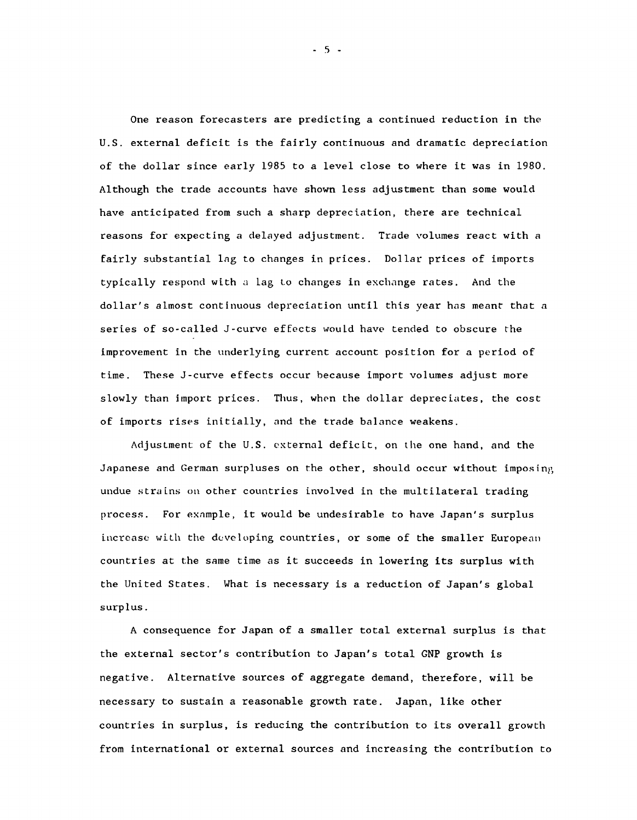**One reason forecasters are predicting a continued reduction in the U.S. external deficit is the fairly continuous and dramatic depreciation of the dollar since early 1985 to a level close to where it was in 1980. Although the trade accounts have shown less adjustment than some would have anticipated from such a sharp depreciation, there are technical reasons for expecting a delayed adjustment. Trade volumes react with a fairly substantial lag to changes in prices. Dollar prices of imports typically respond with a Lag t.o changes in exchange rates. And the dollar's almost continuous depreciation until this year has meant that a series of so-called J-curve effects wouLd have tended to obscure the improvement in the underlying current account position for a period of time. These J-curve effects occur because import volumes adjust more** slowly than import prices. Thus, when the dollar depreciates, the cost **of imports rises initially, and the trade balance weakens.**

**Adjustment of the U.S. external deficit, on the one hand, and the Japanese and German surpluses on the other, should occur without imposing undue strains on other countries involved in the multilateral trading process. For example, it would be undesirable to have Japan's surplus increase with the developing countries, or some of the smaller European countries at the same time as it succeeds in lowering its surplus with the United States. What is necessary is a reduction of Japan's global surplus.**

**A consequence for Japan of a smaller total external surplus is that the external sector's contribution to Japan's total GNP growth is negative. Alternative sources of aggregate demand, therefore, will be necessary to sustain a reasonable growth rate. Japan, like other countries in surplus, is reducing the contribution to its overall growth from international or external sources and increasing the contribution to**

 $-5 -$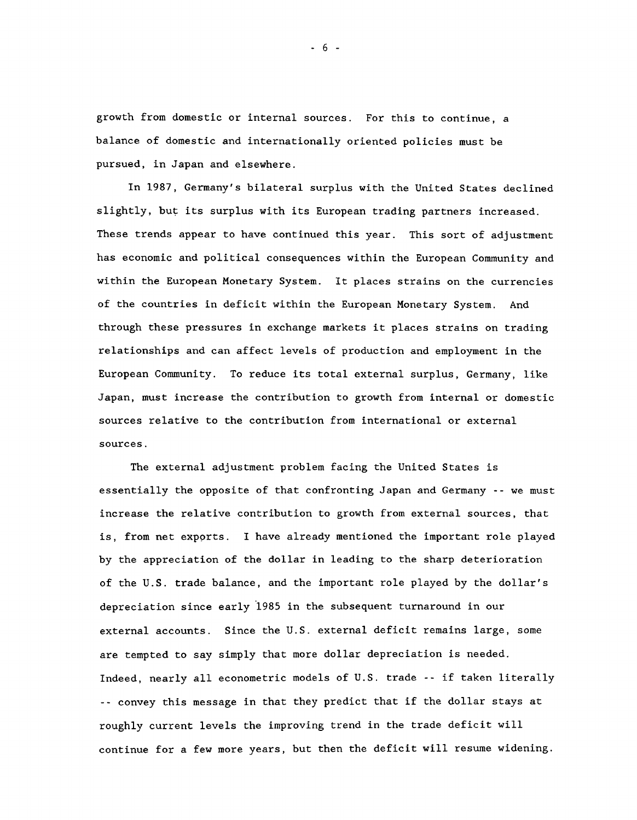**growth from domestic or internal sources. For this to continue, a balance of domestic and internationally oriented policies must be pursued, in Japan and elsewhere.**

**In 1987, Germany's bilateral surplus with the United States declined slightly, but its surplus with its European trading partners increased. These trends appear to have continued this year. This sort of adjustment has economic and political consequences within the European Community and within the European Monetary System. It places strains on the currencies of the countries in deficit within the European Monetary System. And through these pressures in exchange markets it places strains on trading relationships and can affect levels of production and employment in the European Community. To reduce its total external surplus, Germany, like Japan, must increase the contribution to growth from internal or domestic sources relative to the contribution from international or external sources.**

**The external adjustment problem facing the United States is essentially the opposite of that confronting Japan and Germany --we must increase the relative contribution to growth from external sources, that** is, from net exports. I have already mentioned the important role played **by the appreciation of the dollar in leading to the sharp deterioration of the U.S. trade balance, and the important role played by the dollar's depreciation since early 1985 in the subsequent turnaround in our external accounts. Since the U.S. external deficit remains large, some are tempted to say simply that more dollar depreciation is needed. Indeed, nearly all econometric models of U.S. trade -- if taken literally -- convey this message in that they predict that if the dollar stays at roughly current levels the improving trend in the trade deficit will continue for a few more years, but then the deficit will resume widening.**

- 6 -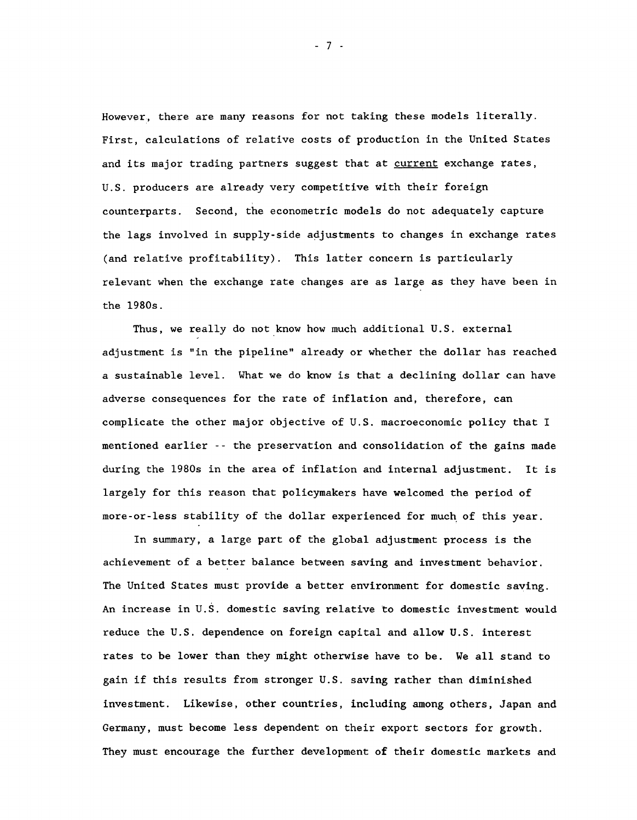**However, there are many reasons for not taking these models literally. First, calculations of relative costs of production in the United States and its major trading partners suggest that at current exchange rates, U.S. producers are already very competitive with their foreign counterparts. Second, the econometric models do not adequately capture the lags involved in supply-side adjustments to changes in exchange rates (and relative profitability). This latter concern is particularly relevant when the exchange rate changes are as large as they have been in the 1980s.**

**Thus, we really do not know how much additional U.S. external adjustment is "in the pipeline" already or whether the dollar has reached a sustainable level. What we do know is that a declining dollar can have adverse consequences for the rate of inflation and, therefore, can complicate the other major objective of U.S. macroeconomic policy that I mentioned earlier -- the preservation and consolidation of the gains made during the 1980s in the area of inflation and internal adjustment. It is largely for this reason that policymakers have welcomed the period of more-or-less stability of the dollar experienced for much of this year.**

**In summary, a large part of the global adjustment process is the achievement of a better balance between saving and investment behavior. The United States must provide a better environment for domestic saving. An increase in U.S. domestic saving relative to domestic investment would reduce the U.S. dependence on foreign capital and allow U.S. interest rates to be lower than they might otherwise have to be. We all stand to gain if this results from stronger U.S. saving rather than diminished investment. Likewise, other countries, including among others, Japan and Germany, must become less dependent on their export sectors for growth. They must encourage the further development of their domestic markets and**

 $-7 -$